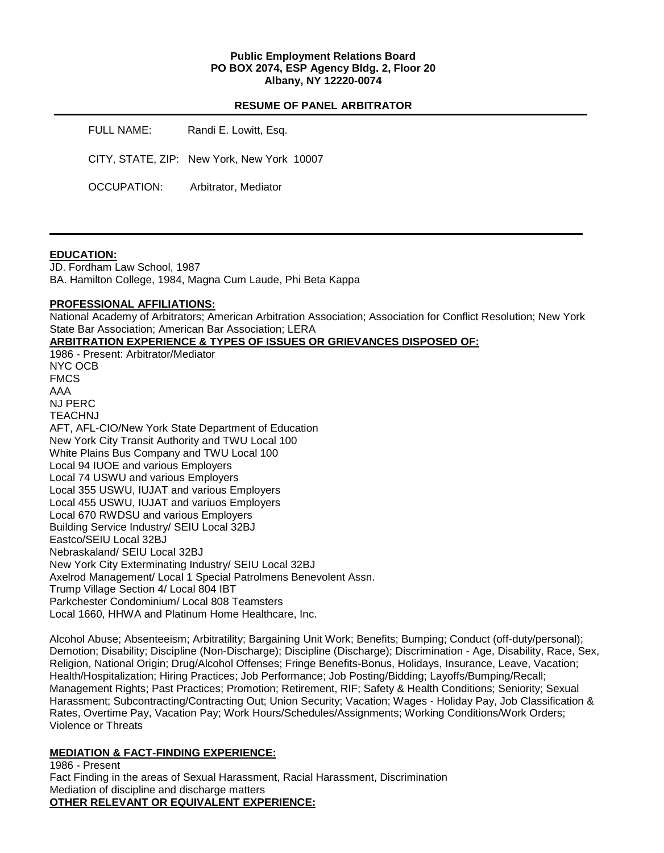### **Public Employment Relations Board PO BOX 2074, ESP Agency Bldg. 2, Floor 20 Albany, NY 12220-0074**

#### **RESUME OF PANEL ARBITRATOR**

| FULL NAME:  | Randi E. Lowitt, Esq.                      |  |
|-------------|--------------------------------------------|--|
|             | CITY, STATE, ZIP: New York, New York 10007 |  |
| OCCUPATION: | Arbitrator, Mediator                       |  |

### **EDUCATION:**

JD. Fordham Law School, 1987 BA. Hamilton College, 1984, Magna Cum Laude, Phi Beta Kappa

### **PROFESSIONAL AFFILIATIONS:**

National Academy of Arbitrators; American Arbitration Association; Association for Conflict Resolution; New York State Bar Association; American Bar Association; LERA

### **ARBITRATION EXPERIENCE & TYPES OF ISSUES OR GRIEVANCES DISPOSED OF:**

1986 - Present: Arbitrator/Mediator NYC OCB FMCS AAA NJ PERC TEACHNJ AFT, AFL-CIO/New York State Department of Education New York City Transit Authority and TWU Local 100 White Plains Bus Company and TWU Local 100 Local 94 IUOE and various Employers Local 74 USWU and various Employers Local 355 USWU, IUJAT and various Employers Local 455 USWU, IUJAT and variuos Employers Local 670 RWDSU and various Employers Building Service Industry/ SEIU Local 32BJ Eastco/SEIU Local 32BJ Nebraskaland/ SEIU Local 32BJ New York City Exterminating Industry/ SEIU Local 32BJ Axelrod Management/ Local 1 Special Patrolmens Benevolent Assn. Trump Village Section 4/ Local 804 IBT Parkchester Condominium/ Local 808 Teamsters Local 1660, HHWA and Platinum Home Healthcare, Inc.

Alcohol Abuse; Absenteeism; Arbitratility; Bargaining Unit Work; Benefits; Bumping; Conduct (off-duty/personal); Demotion; Disability; Discipline (Non-Discharge); Discipline (Discharge); Discrimination - Age, Disability, Race, Sex, Religion, National Origin; Drug/Alcohol Offenses; Fringe Benefits-Bonus, Holidays, Insurance, Leave, Vacation; Health/Hospitalization; Hiring Practices; Job Performance; Job Posting/Bidding; Layoffs/Bumping/Recall; Management Rights; Past Practices; Promotion; Retirement, RIF; Safety & Health Conditions; Seniority; Sexual Harassment; Subcontracting/Contracting Out; Union Security; Vacation; Wages - Holiday Pay, Job Classification & Rates, Overtime Pay, Vacation Pay; Work Hours/Schedules/Assignments; Working Conditions/Work Orders; Violence or Threats

## **MEDIATION & FACT-FINDING EXPERIENCE:**

1986 - Present Fact Finding in the areas of Sexual Harassment, Racial Harassment, Discrimination Mediation of discipline and discharge matters **OTHER RELEVANT OR EQUIVALENT EXPERIENCE:**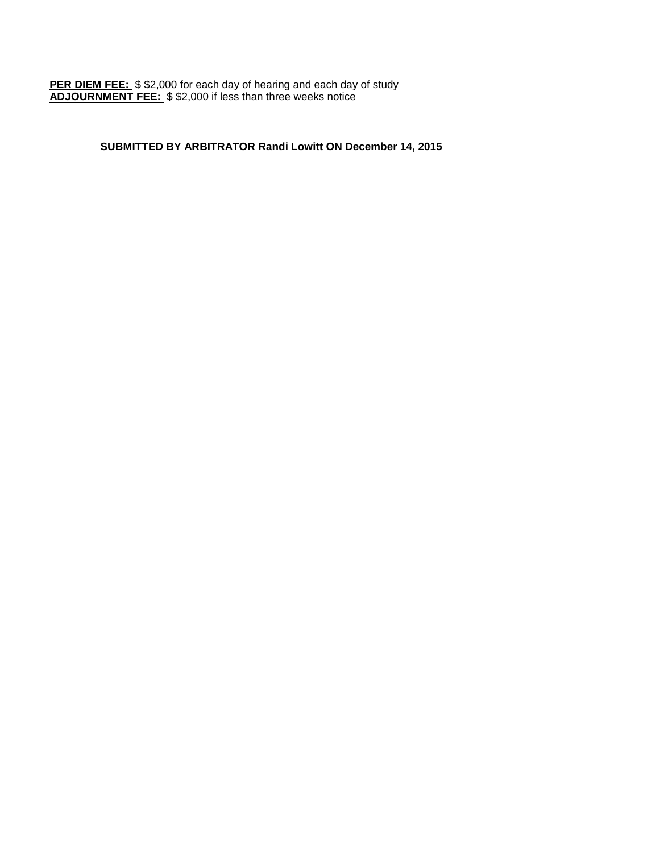**PER DIEM FEE:** \$ \$2,000 for each day of hearing and each day of study **ADJOURNMENT FEE:** \$ \$2,000 if less than three weeks notice

# **SUBMITTED BY ARBITRATOR Randi Lowitt ON December 14, 2015**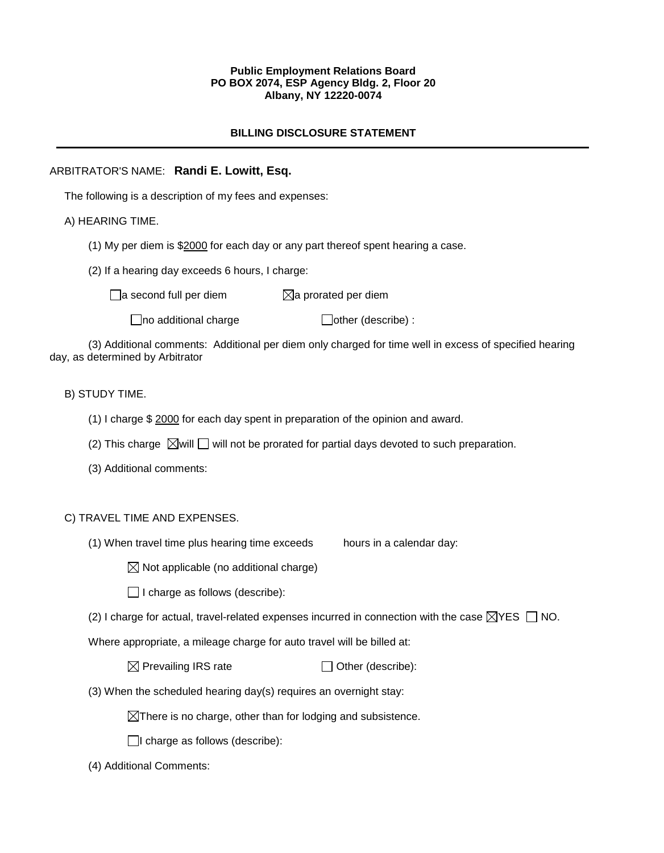## **Public Employment Relations Board PO BOX 2074, ESP Agency Bldg. 2, Floor 20 Albany, NY 12220-0074**

# **BILLING DISCLOSURE STATEMENT**

## ARBITRATOR'S NAME: **Randi E. Lowitt, Esq.**

The following is a description of my fees and expenses:

# A) HEARING TIME.

- (1) My per diem is \$2000 for each day or any part thereof spent hearing a case.
- (2) If a hearing day exceeds 6 hours, I charge:

 $\Box$ a second full per diem  $\boxtimes$ a prorated per diem

 $\Box$ no additional charge  $\Box$ other (describe) :

(3) Additional comments: Additional per diem only charged for time well in excess of specified hearing day, as determined by Arbitrator

# B) STUDY TIME.

- (1) I charge \$ 2000 for each day spent in preparation of the opinion and award.
- (2) This charge  $\boxtimes$  will  $\Box$  will not be prorated for partial days devoted to such preparation.
- (3) Additional comments:

## C) TRAVEL TIME AND EXPENSES.

(1) When travel time plus hearing time exceeds hours in a calendar day:

 $\boxtimes$  Not applicable (no additional charge)

 $\Box$  I charge as follows (describe):

(2) I charge for actual, travel-related expenses incurred in connection with the case  $\boxtimes$ YES  $\Box$  NO.

Where appropriate, a mileage charge for auto travel will be billed at:

 $\boxtimes$  Prevailing IRS rate  $\Box$  Other (describe):

(3) When the scheduled hearing day(s) requires an overnight stay:

 $\boxtimes$ There is no charge, other than for lodging and subsistence.

- $\Box$ I charge as follows (describe):
- (4) Additional Comments: